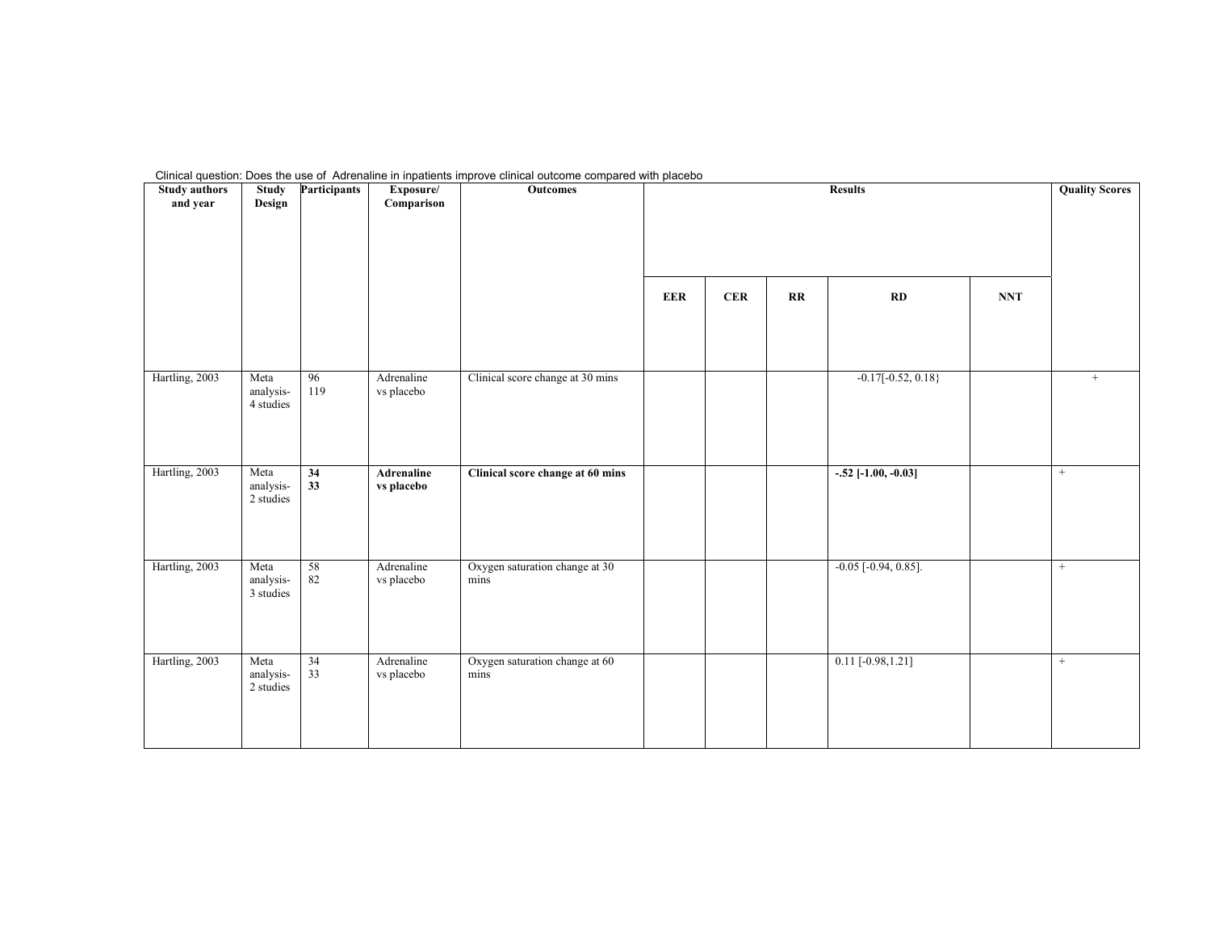| Clinical question: Does the use of Adrenaline in inpatients improve clinical outcome compared with placebo |  |
|------------------------------------------------------------------------------------------------------------|--|
|------------------------------------------------------------------------------------------------------------|--|

| <b>Study authors</b><br>and year | <b>Study</b><br>Design         | <b>Participants</b> | Exposure/<br>Comparison  | Outcomes                               |            | <b>Results</b> |    |                               |            | <b>Quality Scores</b> |
|----------------------------------|--------------------------------|---------------------|--------------------------|----------------------------------------|------------|----------------|----|-------------------------------|------------|-----------------------|
|                                  |                                |                     |                          |                                        | <b>EER</b> | <b>CER</b>     | RR | RD                            | <b>NNT</b> |                       |
| Hartling, 2003                   | Meta<br>analysis-<br>4 studies | 96<br>119           | Adrenaline<br>vs placebo | Clinical score change at 30 mins       |            |                |    | $-0.17[-0.52, 0.18]$          |            | $\! +$                |
| Hartling, 2003                   | Meta<br>analysis-<br>2 studies | 34<br>33            | Adrenaline<br>vs placebo | Clinical score change at 60 mins       |            |                |    | $-.52$ [-1.00, -0.03]         |            | $+$                   |
| Hartling, 2003                   | Meta<br>analysis-<br>3 studies | 58<br>$82\,$        | Adrenaline<br>vs placebo | Oxygen saturation change at 30<br>mins |            |                |    | $-0.05$ [ $-0.94$ , $0.85$ ]. |            | $+$                   |
| Hartling, 2003                   | Meta<br>analysis-<br>2 studies | 34<br>33            | Adrenaline<br>vs placebo | Oxygen saturation change at 60<br>mins |            |                |    | $0.11$ [-0.98, 1.21]          |            | $+$                   |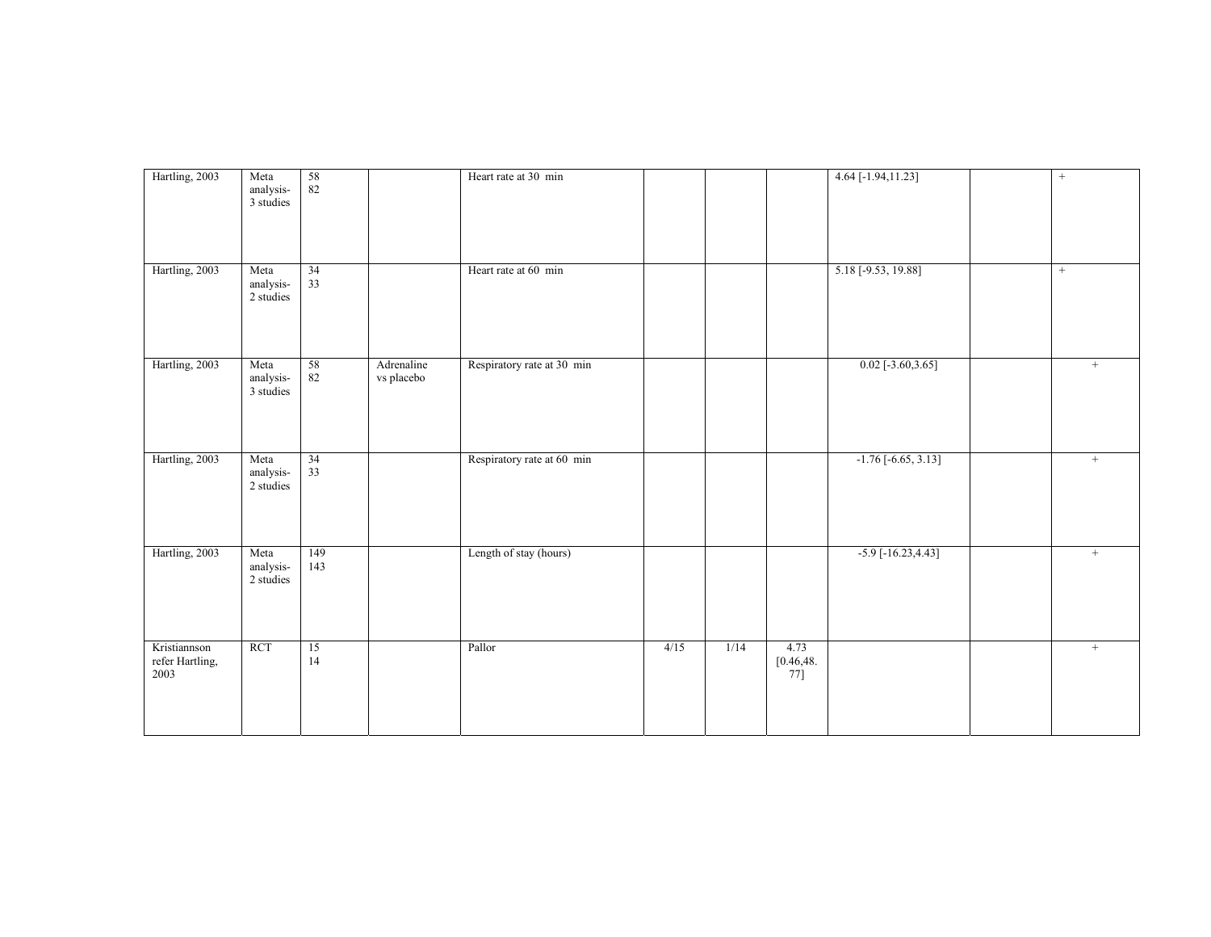| Hartling, 2003                          | Meta<br>analysis-<br>3 studies | 58<br>$82\,$    |                          | Heart rate at 30 min       |      |      |                              | 4.64 [-1.94,11.23]        | $\! +$ |
|-----------------------------------------|--------------------------------|-----------------|--------------------------|----------------------------|------|------|------------------------------|---------------------------|--------|
| Hartling, 2003                          | Meta<br>analysis-<br>2 studies | 34<br>33        |                          | Heart rate at 60 min       |      |      |                              | 5.18 [-9.53, 19.88]       | $+$    |
| Hartling, 2003                          | Meta<br>analysis-<br>3 studies | 58<br>$82\,$    | Adrenaline<br>vs placebo | Respiratory rate at 30 min |      |      |                              | $0.02$ [-3.60,3.65]       | $^{+}$ |
| Hartling, 2003                          | Meta<br>analysis-<br>2 studies | $\frac{34}{33}$ |                          | Respiratory rate at 60 min |      |      |                              | $-1.76[-6.65, 3.13]$      | $+$    |
| Hartling, 2003                          | Meta<br>analysis-<br>2 studies | 149<br>143      |                          | Length of stay (hours)     |      |      |                              | $-5.9$ [ $-16.23, 4.43$ ] | $^{+}$ |
| Kristiannson<br>refer Hartling,<br>2003 | RCT                            | 15<br>14        |                          | Pallor                     | 4/15 | 1/14 | 4.73<br>[0.46, 48]<br>$77$ ] |                           | $+$    |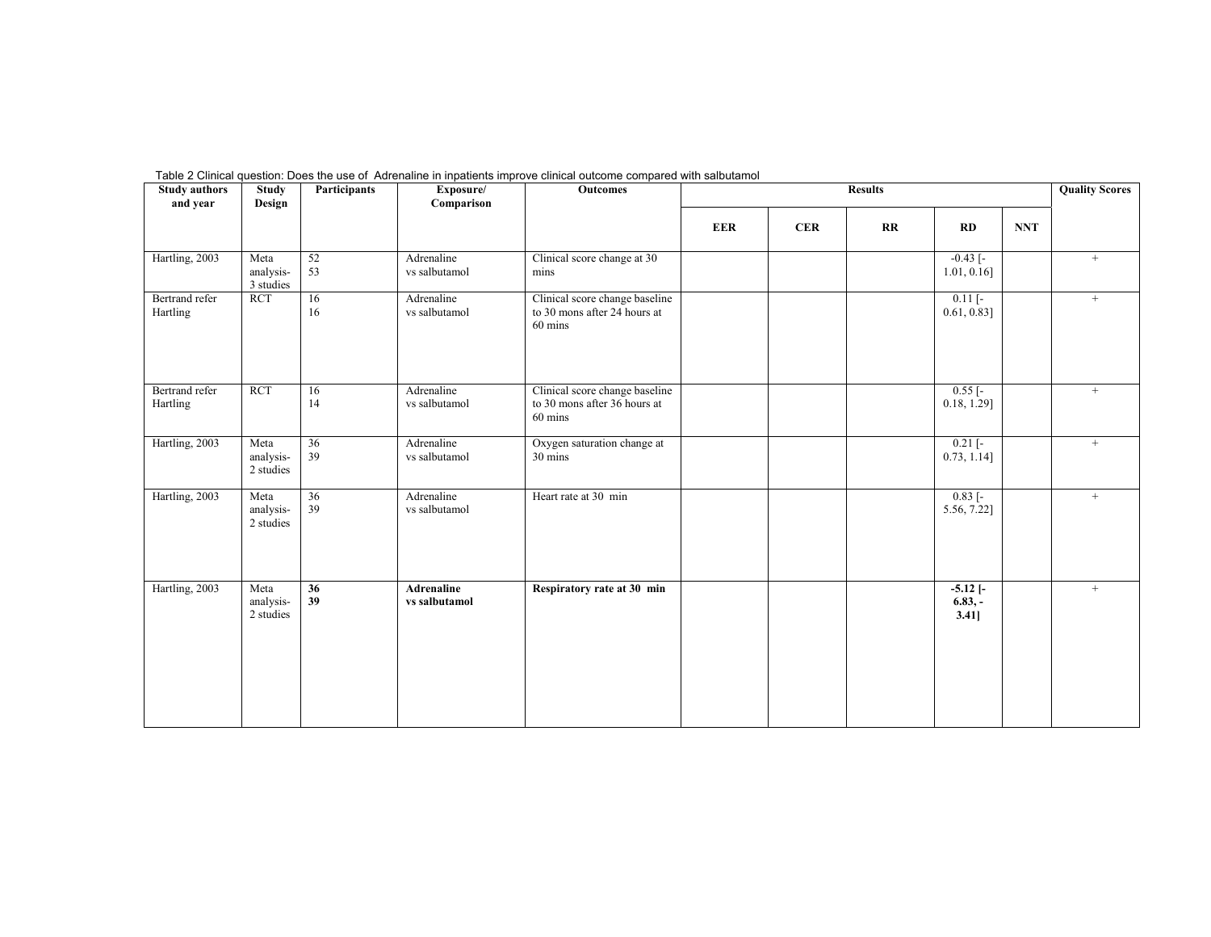| <b>Study authors</b><br>and year | <b>Study</b><br>Design         | <b>Participants</b>   | Exposure/<br>Comparison     | <b>Outcomes</b>                                                           |            |            | <b>Results</b> |                                    |            | <b>Quality Scores</b> |
|----------------------------------|--------------------------------|-----------------------|-----------------------------|---------------------------------------------------------------------------|------------|------------|----------------|------------------------------------|------------|-----------------------|
|                                  |                                |                       |                             |                                                                           | <b>EER</b> | <b>CER</b> | $\mathbf{R}$   | RD                                 | <b>NNT</b> |                       |
| Hartling, 2003                   | Meta<br>analysis-<br>3 studies | 52<br>53              | Adrenaline<br>vs salbutamol | Clinical score change at 30<br>mins                                       |            |            |                | $-0.43$ [ $-$<br>$1.01, 0.16$ ]    |            | $+$                   |
| Bertrand refer<br>Hartling       | <b>RCT</b>                     | 16<br>16              | Adrenaline<br>vs salbutamol | Clinical score change baseline<br>to 30 mons after 24 hours at<br>60 mins |            |            |                | $0.11$ [-<br>$0.61, 0.83$ ]        |            | $+$                   |
| Bertrand refer<br>Hartling       | <b>RCT</b>                     | 16<br>14              | Adrenaline<br>vs salbutamol | Clinical score change baseline<br>to 30 mons after 36 hours at<br>60 mins |            |            |                | $0.55$ [-<br>$0.18, 1.29$ ]        |            | $+$                   |
| Hartling, 2003                   | Meta<br>analysis-<br>2 studies | $\overline{36}$<br>39 | Adrenaline<br>vs salbutamol | Oxygen saturation change at<br>30 mins                                    |            |            |                | $0.21$ [-<br>$0.73, 1.14$ ]        |            | $^{+}$                |
| Hartling, 2003                   | Meta<br>analysis-<br>2 studies | 36<br>39              | Adrenaline<br>vs salbutamol | Heart rate at 30 min                                                      |            |            |                | $0.83$ [-<br>5.56, 7.22]           |            | $+$                   |
| Hartling, 2003                   | Meta<br>analysis-<br>2 studies | $\overline{36}$<br>39 | Adrenaline<br>vs salbutamol | Respiratory rate at 30 min                                                |            |            |                | $-5.12$ $[-$<br>$6.83, -$<br>3.41] |            | $^{+}$                |

Table 2 Clinical question: Does the use of Adrenaline in inpatients improve clinical outcome compared with salbutamol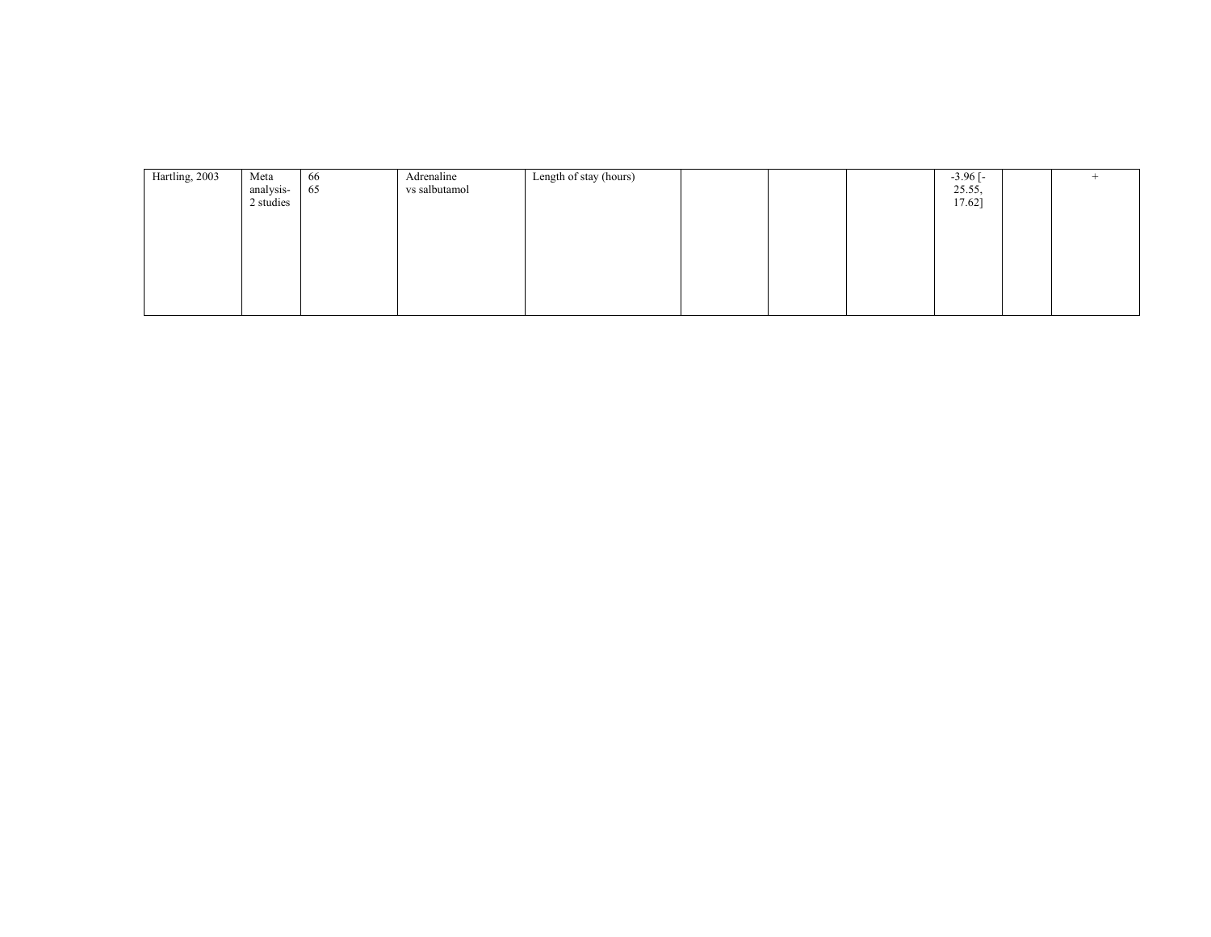| Hartling, 2003 | Meta<br>analysis-<br>2 studies | 66<br>65 | Adrenaline<br>vs salbutamol | Length of stay (hours) |  | $-3.96$ [ $-$<br>25.55,<br>17.62] |  |
|----------------|--------------------------------|----------|-----------------------------|------------------------|--|-----------------------------------|--|
|                |                                |          |                             |                        |  |                                   |  |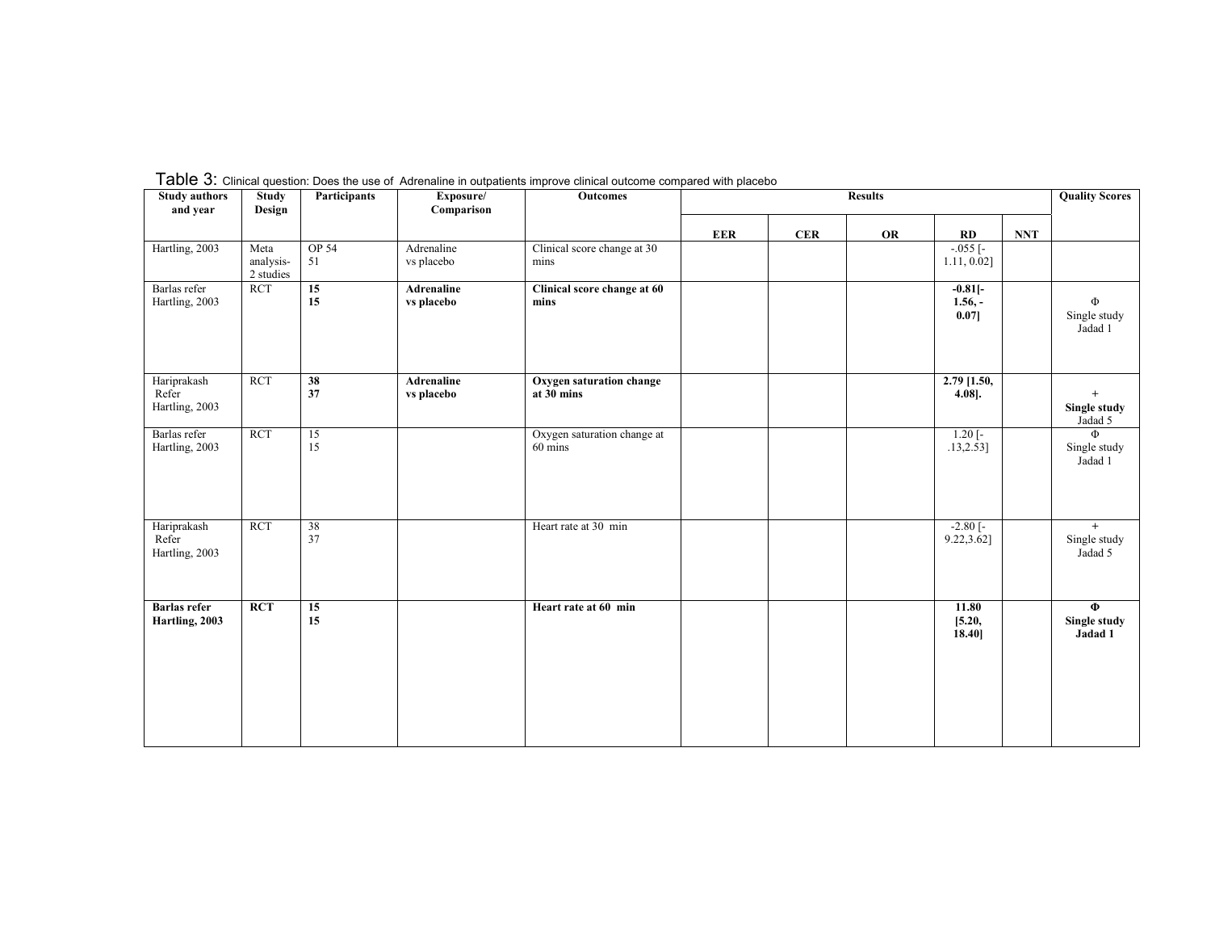| <b>Study authors</b><br>and year       | <b>Study</b><br>Design         | Participants          | Exposure/<br>Comparison  | Outcomes                               |            |     | <b>Results</b> |                                      |            | <b>Quality Scores</b>             |
|----------------------------------------|--------------------------------|-----------------------|--------------------------|----------------------------------------|------------|-----|----------------|--------------------------------------|------------|-----------------------------------|
|                                        |                                |                       |                          |                                        | <b>EER</b> | CER | <b>OR</b>      | RD                                   | <b>NNT</b> |                                   |
| Hartling, 2003                         | Meta<br>analysis-<br>2 studies | <b>OP 54</b><br>51    | Adrenaline<br>vs placebo | Clinical score change at 30<br>mins    |            |     |                | $-0.055$ [-<br>1.11, 0.02]           |            |                                   |
| Barlas refer<br>Hartling, 2003         | <b>RCT</b>                     | 15<br>15              | Adrenaline<br>vs placebo | Clinical score change at 60<br>mins    |            |     |                | $-0.81$ [-<br>$1.56,-$<br>$0.07$ ]   |            | Φ<br>Single study<br>Jadad 1      |
| Hariprakash<br>Refer<br>Hartling, 2003 | <b>RCT</b>                     | 38<br>37              | Adrenaline<br>vs placebo | Oxygen saturation change<br>at 30 mins |            |     |                | $2.79$ [1.50,<br>$4.08$ ].           |            | $+$<br>Single study<br>Jadad 5    |
| Barlas refer<br>Hartling, 2003         | <b>RCT</b>                     | 15<br>15              |                          | Oxygen saturation change at<br>60 mins |            |     |                | $1.20$ [-<br>.13, 2.53]              |            | Φ<br>Single study<br>Jadad 1      |
| Hariprakash<br>Refer<br>Hartling, 2003 | <b>RCT</b>                     | $\overline{38}$<br>37 |                          | Heart rate at 30 min                   |            |     |                | $-2.80$ $\overline{)}$<br>9.22,3.62] |            | $+$<br>Single study<br>Jadad 5    |
| <b>Barlas</b> refer<br>Hartling, 2003  | RCT                            | 15<br>15              |                          | Heart rate at 60 min                   |            |     |                | 11.80<br>[5.20,<br>18.40]            |            | $\Phi$<br>Single study<br>Jadad 1 |

Table 3: Clinical question: Does the use of Adrenaline in outpatients improve clinical outcome compared with placebo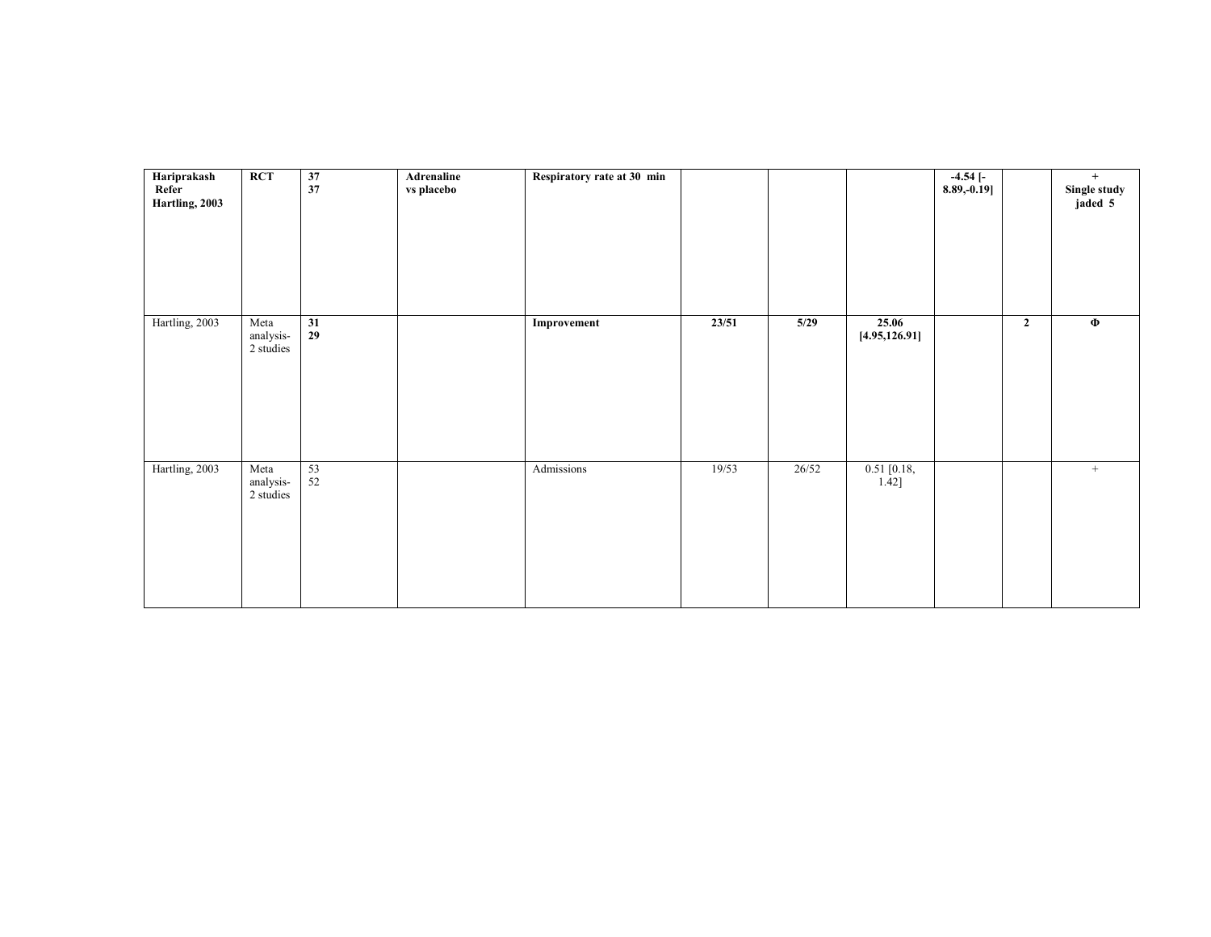| Hariprakash<br>Refer<br>Hartling, 2003 | <b>RCT</b>                     | 37<br>37     | Adrenaline<br>vs placebo | Respiratory rate at 30 min |       |       |                         | $-4.54$ [-<br>8.89, -0.19] |              | $+$<br>Single study<br>jaded 5 |
|----------------------------------------|--------------------------------|--------------|--------------------------|----------------------------|-------|-------|-------------------------|----------------------------|--------------|--------------------------------|
| Hartling, 2003                         | Meta<br>analysis-<br>2 studies | 31<br>29     |                          | Improvement                | 23/51 | 5/29  | 25.06<br>[4.95, 126.91] |                            | $\mathbf{2}$ | $\Phi$                         |
| Hartling, 2003                         | Meta<br>analysis-<br>2 studies | 53<br>$52\,$ |                          | Admissions                 | 19/53 | 26/52 | $0.51$ [0.18,<br>1.42]  |                            |              | $^{+}$                         |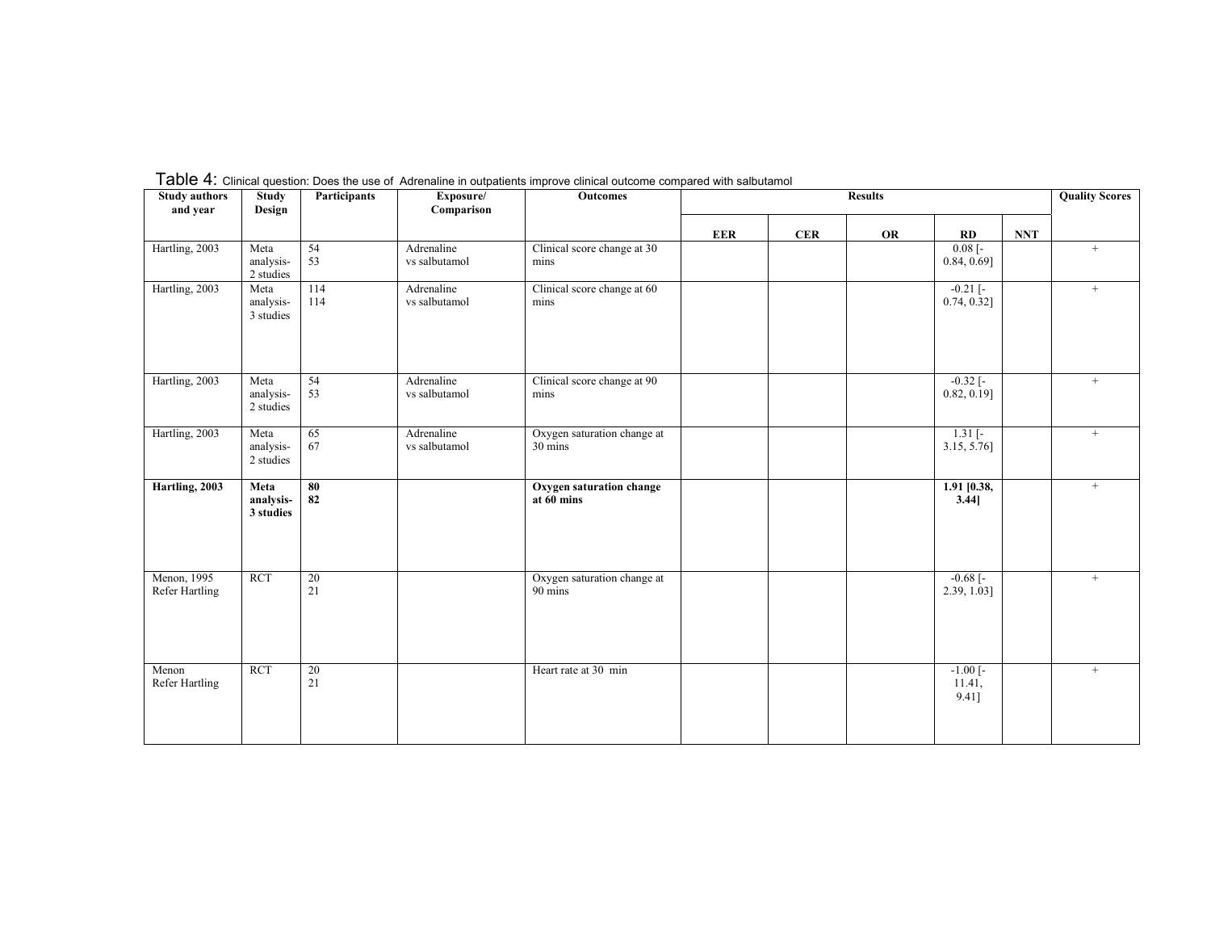| <b>Study authors</b><br>and year     | <b>Study</b><br>Design         | Participants | Exposure/<br>Comparison     | <b>Outcomes</b>                        |            |            | <b>Results</b> |                                           |            | <b>Quality Scores</b> |
|--------------------------------------|--------------------------------|--------------|-----------------------------|----------------------------------------|------------|------------|----------------|-------------------------------------------|------------|-----------------------|
|                                      |                                |              |                             |                                        | <b>EER</b> | <b>CER</b> | OR             | RD                                        | <b>NNT</b> |                       |
| Hartling, 2003                       | Meta<br>analysis-<br>2 studies | 54<br>53     | Adrenaline<br>vs salbutamol | Clinical score change at 30<br>mins    |            |            |                | $0.08$ [ $-$<br>$0.84, 0.69$ ]            |            | $^{+}$                |
| Hartling, 2003                       | Meta<br>analysis-<br>3 studies | 114<br>114   | Adrenaline<br>vs salbutamol | Clinical score change at 60<br>mins    |            |            |                | $-0.21$ $[-$<br>0.74, 0.32]               |            | $+$                   |
| Hartling, 2003                       | Meta<br>analysis-<br>2 studies | 54<br>53     | Adrenaline<br>vs salbutamol | Clinical score change at 90<br>mins    |            |            |                | $-0.32$ $[-$<br>$0.82, 0.19$ ]            |            | $^{+}$                |
| Hartling, 2003                       | Meta<br>analysis-<br>2 studies | 65<br>67     | Adrenaline<br>vs salbutamol | Oxygen saturation change at<br>30 mins |            |            |                | $1.31$ [-<br>$3.15, 5.76$ ]               |            | $^{+}$                |
| Hartling, 2003                       | Meta<br>analysis-<br>3 studies | 80<br>82     |                             | Oxygen saturation change<br>at 60 mins |            |            |                | $1.91$ [0.38,<br>$3.44$ ]                 |            | $+$                   |
| Menon, 1995<br><b>Refer Hartling</b> | <b>RCT</b>                     | 20<br>21     |                             | Oxygen saturation change at<br>90 mins |            |            |                | $-0.68$ [ $-$<br>$2.39, 1.03$ ]           |            | $^{+}$                |
| Menon<br><b>Refer Hartling</b>       | <b>RCT</b>                     | 20<br>21     |                             | Heart rate at 30 min                   |            |            |                | $-1.00$ $\overline{ }$<br>11.41,<br>9.41] |            | $+$                   |

Table 4: Clinical question: Does the use of Adrenaline in outpatients improve clinical outcome compared with salbutamol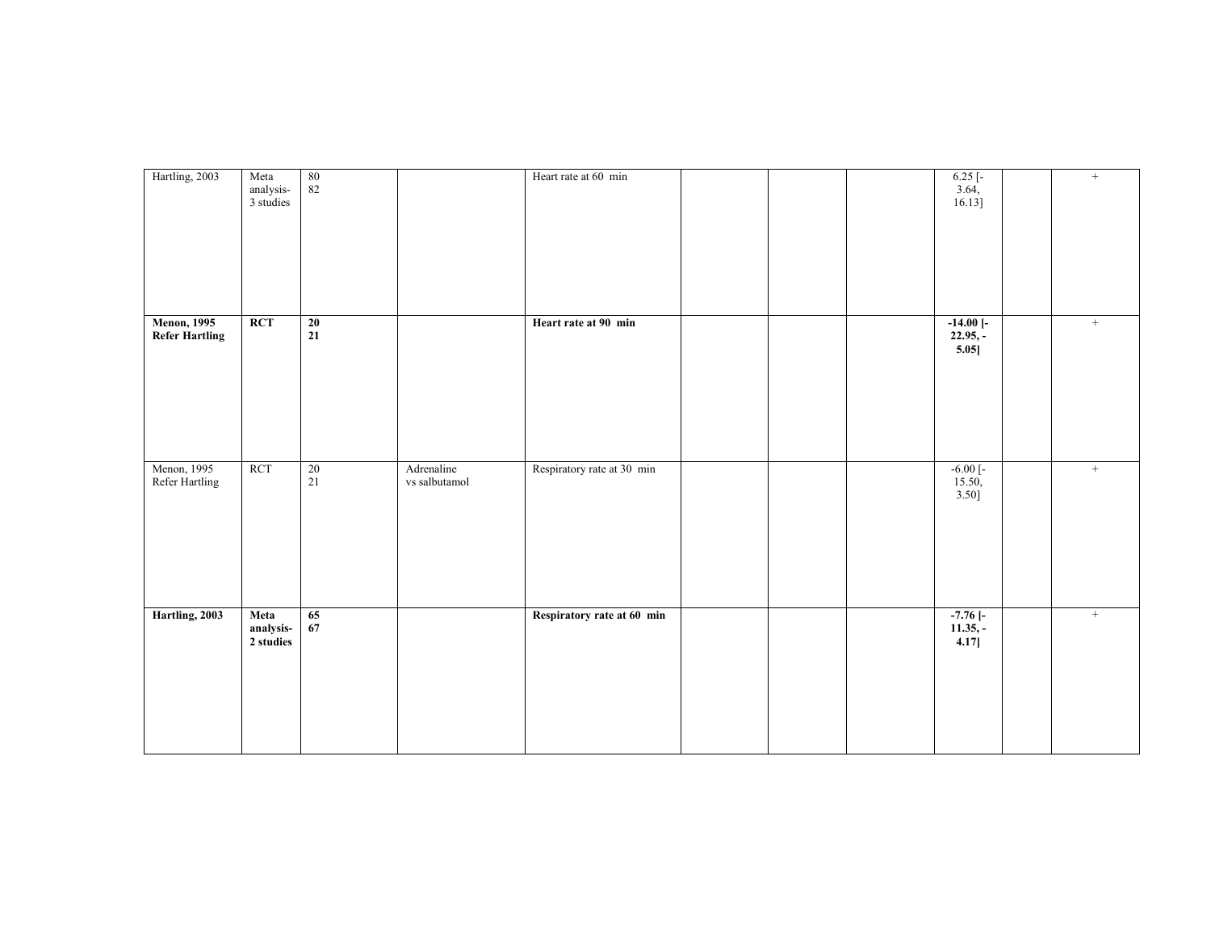| Hartling, 2003                               | Meta<br>analysis-<br>3 studies | $\begin{array}{c} 80 \\ 82 \end{array}$ |                             | Heart rate at 60 min       |  | $6.25$ [-<br>3.64,<br>$16.13$ ]        | $+$ |
|----------------------------------------------|--------------------------------|-----------------------------------------|-----------------------------|----------------------------|--|----------------------------------------|-----|
| <b>Menon</b> , 1995<br><b>Refer Hartling</b> | <b>RCT</b>                     | 20<br>21                                |                             | Heart rate at 90 min       |  | $-14.00$ [ $-$<br>$22.95,-$<br>5.05]   | $+$ |
| Menon, 1995<br>Refer Hartling                | <b>RCT</b>                     | 20<br>21                                | Adrenaline<br>vs salbutamol | Respiratory rate at 30 min |  | $-6.00$ [ $-$<br>$\frac{15.50}{3.50}$  | $+$ |
| Hartling, 2003                               | Meta<br>analysis-<br>2 studies | 65<br>67                                |                             | Respiratory rate at 60 min |  | $-7.76$ [ $-$<br>$11.35,-$<br>$4.17$ ] | $+$ |